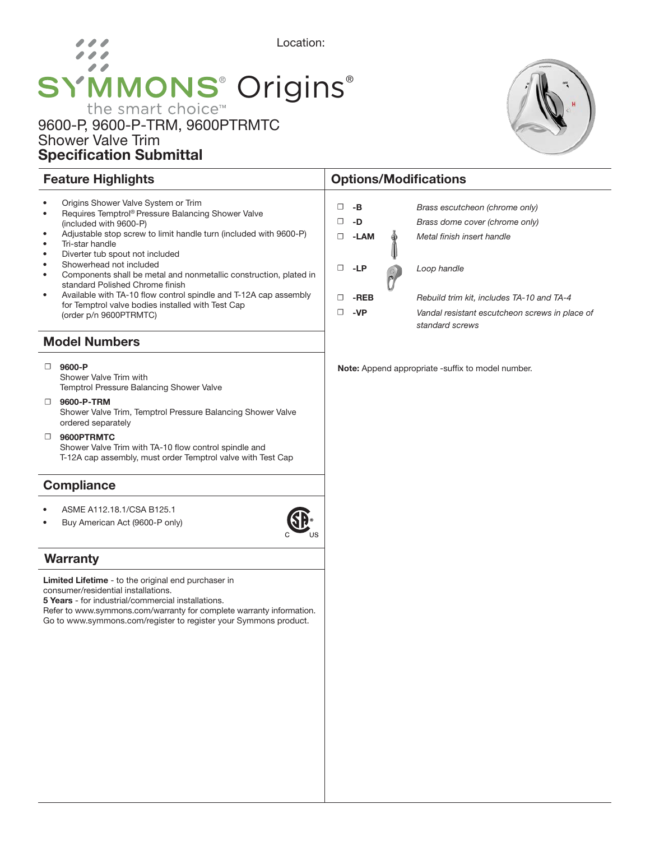# Location: 00 **SYMMONS® Origins®** the smart choice™

## 9600-P, 9600-P-TRM, 9600PTRMTC Shower Valve Trim Specification Submittal

#### • Origins Shower Valve System or Trim • Requires Temptrol® Pressure Balancing Shower Valve (included with 9600-P) • Adjustable stop screw to limit handle turn (included with 9600-P) Tri-star handle • Diverter tub spout not included Showerhead not included • Components shall be metal and nonmetallic construction, plated in standard Polished Chrome finish • Available with TA-10 flow control spindle and T-12A cap assembly for Temptrol valve bodies installed with Test Cap (order p/n 9600PTRMTC) Model Numbers ☐ 9600-P Shower Valve Trim with Temptrol Pressure Balancing Shower Valve ☐ 9600-P-TRM Shower Valve Trim, Temptrol Pressure Balancing Shower Valve ordered separately ☐ 9600PTRMTC Shower Valve Trim with TA-10 flow control spindle and T-12A cap assembly, must order Temptrol valve with Test Cap Note: Append appropriate -suffix to model number. ☐ -B *Brass escutcheon (chrome only)*  ☐ -D *Brass dome cover (chrome only)* ☐ -LAM *Metal finish insert handle* ☐ -LP *Loop handle* ☐ -REB *Rebuild trim kit, includes TA-10 and TA-4* ☐ -VP *Vandal resistant escutcheon screws in place of standard screws*

Feature Highlights **Contract Contract Contract Contract Contract Contract Contract Contract Contract Contract Contract Contract Contract Contract Contract Contract Contract Contract Contract Contract Contract Contract Cont** 

## **Compliance**

- ASME A112.18.1/CSA B125.1
- Buy American Act (9600-P only)

## **Warranty**

Limited Lifetime - to the original end purchaser in consumer/residential installations.

5 Years - for industrial/commercial installations.

Refer to www.symmons.com/warranty for complete warranty information. Go to www.symmons.com/register to register your Symmons product.